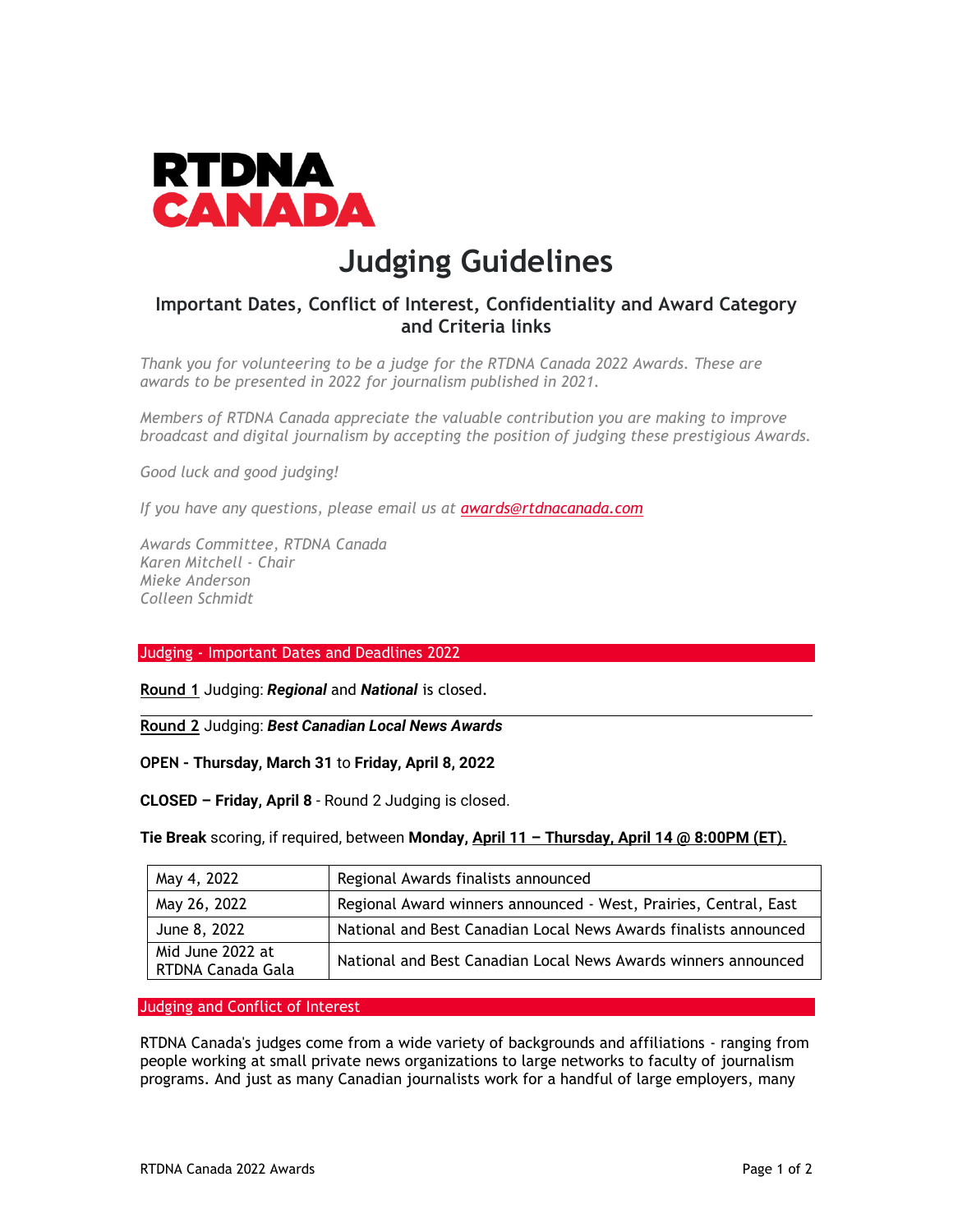

## **Judging Guidelines**

## **Important Dates, Conflict of Interest, Confidentiality and Award Category and Criteria links**

*Thank you for volunteering to be a judge for the RTDNA Canada 2022 Awards. These are awards to be presented in 2022 for journalism published in 2021.*

*Members of RTDNA Canada appreciate the valuable contribution you are making to improve broadcast and digital journalism by accepting the position of judging these prestigious Awards.*

*Good luck and good judging!*

*If you have any questions, please email us at [awards@rtdnacanada.com](mailto:awards@rtdnacanada.com)*

*Awards Committee, RTDNA Canada Karen Mitchell - Chair Mieke Anderson Colleen Schmidt*

Judging - Important Dates and Deadlines 2022

**Round 1** Judging: *Regional* and *National* is closed.

**Round 2** Judging: *Best Canadian Local News Awards*

**OPEN - Thursday, March 31** to **Friday, April 8, 2022**

**CLOSED – Friday, April 8** - Round 2 Judging is closed.

**Tie Break** scoring, if required, between **Monday, April 11 – Thursday, April 14 @ 8:00PM (ET).**

| May 4, 2022                           | Regional Awards finalists announced                              |
|---------------------------------------|------------------------------------------------------------------|
| May 26, 2022                          | Regional Award winners announced - West, Prairies, Central, East |
| June 8, 2022                          | National and Best Canadian Local News Awards finalists announced |
| Mid June 2022 at<br>RTDNA Canada Gala | National and Best Canadian Local News Awards winners announced   |

Judging and Conflict of Interest

RTDNA Canada's judges come from a wide variety of backgrounds and affiliations - ranging from people working at small private news organizations to large networks to faculty of journalism programs. And just as many Canadian journalists work for a handful of large employers, many